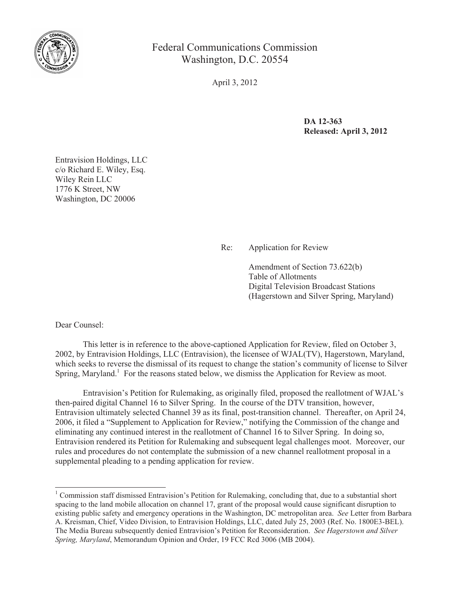

Federal Communications Commission Washington, D.C. 20554

April 3, 2012

**DA 12-363 Released: April 3, 2012**

Entravision Holdings, LLC c/o Richard E. Wiley, Esq. Wiley Rein LLC 1776 K Street, NW Washington, DC 20006

## Re: Application for Review

Amendment of Section 73.622(b) Table of Allotments Digital Television Broadcast Stations (Hagerstown and Silver Spring, Maryland)

Dear Counsel:

This letter is in reference to the above-captioned Application for Review, filed on October 3, 2002, by Entravision Holdings, LLC (Entravision), the licensee of WJAL(TV), Hagerstown, Maryland, which seeks to reverse the dismissal of its request to change the station's community of license to Silver Spring, Maryland.<sup>1</sup> For the reasons stated below, we dismiss the Application for Review as moot.

Entravision's Petition for Rulemaking, as originally filed, proposed the reallotment of WJAL's then-paired digital Channel 16 to Silver Spring. In the course of the DTV transition, however, Entravision ultimately selected Channel 39 as its final, post-transition channel. Thereafter, on April 24, 2006, it filed a "Supplement to Application for Review," notifying the Commission of the change and eliminating any continued interest in the reallotment of Channel 16 to Silver Spring. In doing so, Entravision rendered its Petition for Rulemaking and subsequent legal challenges moot. Moreover, our rules and procedures do not contemplate the submission of a new channel reallotment proposal in a supplemental pleading to a pending application for review.

<sup>&</sup>lt;sup>1</sup> Commission staff dismissed Entravision's Petition for Rulemaking, concluding that, due to a substantial short spacing to the land mobile allocation on channel 17, grant of the proposal would cause significant disruption to existing public safety and emergency operations in the Washington, DC metropolitan area. *See* Letter from Barbara A. Kreisman, Chief, Video Division, to Entravision Holdings, LLC, dated July 25, 2003 (Ref. No. 1800E3-BEL). The Media Bureau subsequently denied Entravision's Petition for Reconsideration. *See Hagerstown and Silver Spring, Maryland*, Memorandum Opinion and Order, 19 FCC Rcd 3006 (MB 2004).